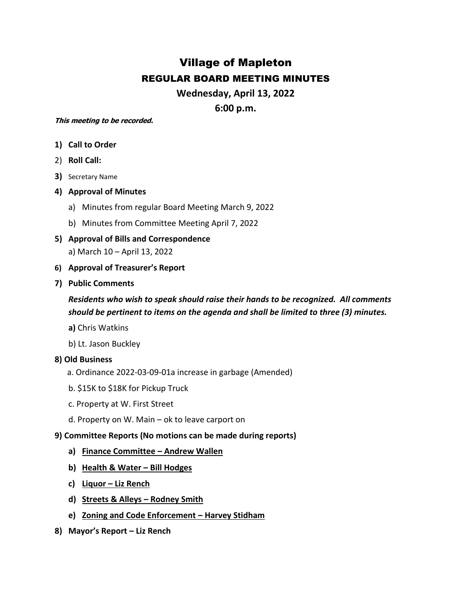# Village of Mapleton REGULAR BOARD MEETING MINUTES

**Wednesday, April 13, 2022**

**6:00 p.m.**

#### **This meeting to be recorded.**

- **1) Call to Order**
- 2) **Roll Call:**
- **3)** Secretary Name
- **4) Approval of Minutes**
	- a) Minutes from regular Board Meeting March 9, 2022
	- b) Minutes from Committee Meeting April 7, 2022
- **5) Approval of Bills and Correspondence** a) March 10 – April 13, 2022
- **6) Approval of Treasurer's Report**
- **7) Public Comments**

*Residents who wish to speak should raise their hands to be recognized. All comments should be pertinent to items on the agenda and shall be limited to three (3) minutes.*

- **a)** Chris Watkins
- b) Lt. Jason Buckley

### **8) Old Business**

- a. Ordinance 2022-03-09-01a increase in garbage (Amended)
- b. \$15K to \$18K for Pickup Truck
- c. Property at W. First Street
- d. Property on W. Main ok to leave carport on

### **9) Committee Reports (No motions can be made during reports)**

- **a) Finance Committee – Andrew Wallen**
- **b) Health & Water – Bill Hodges**
- **c) Liquor – Liz Rench**
- **d) Streets & Alleys – Rodney Smith**
- **e) Zoning and Code Enforcement – Harvey Stidham**
- **8) Mayor's Report – Liz Rench**